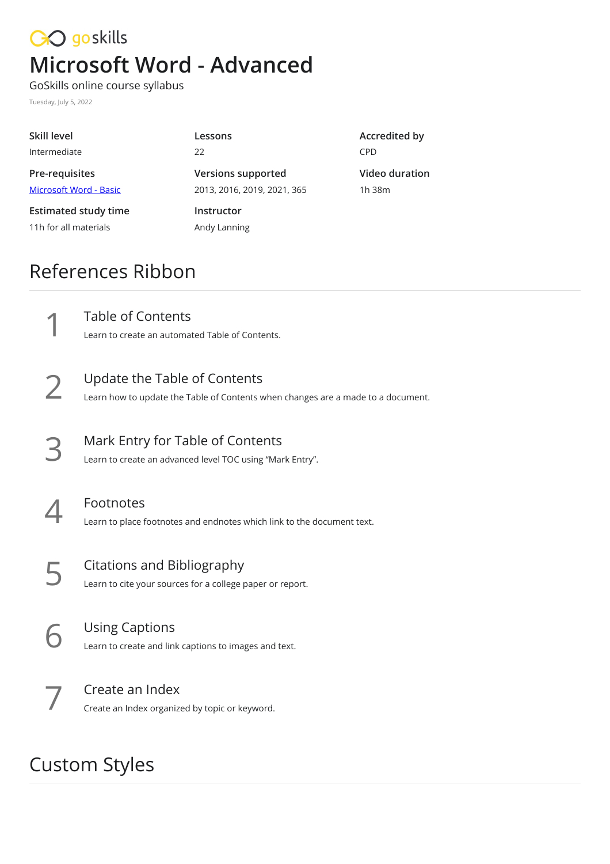## CO goskills **Microsoft Word - Advanced**

GoSkills online course syllabus Tuesday, July 5, 2022

| Skill level                                          | Lessons                                                  | Accredited by            |
|------------------------------------------------------|----------------------------------------------------------|--------------------------|
| Intermediate                                         | 22                                                       | <b>CPD</b>               |
| Pre-requisites<br>Microsoft Word - Basic             | <b>Versions supported</b><br>2013, 2016, 2019, 2021, 365 | Video duration<br>1h 38m |
| <b>Estimated study time</b><br>11h for all materials | Instructor<br>Andy Lanning                               |                          |

## References Ribbon

Table of Contents<br>Learn to create an automated Table of Contents.

- Update the Table of Contents<br>Learn how to update the Table of Contents when changes are a made to a document.
- Mark Entry for Table of Contents<br>Learn to create an advanced level TOC using "Mark Entry".
	- Footnotes<br>Learn to place footnotes and endnotes which link to the document text.
- Citations and Bibliography<br>Learn to cite your sources for a college paper or report.
- Using Captions<br>Learn to create and link captions to images and text.
	- Create an Index<br>Create an Index organized by topic or keyword.

## Custom Styles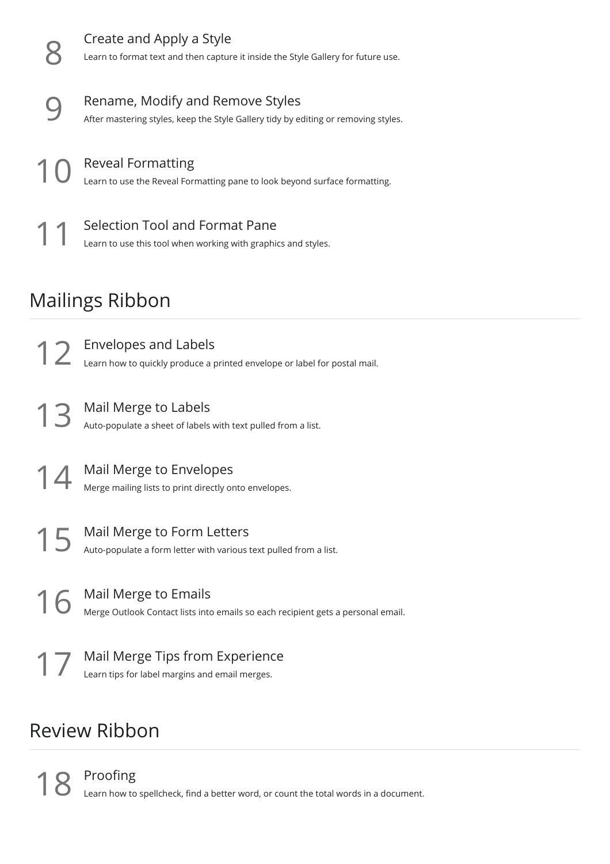

## Review Ribbon

Proofing<br>Learn how to spellcheck, find a better word, or count the total words in a document.